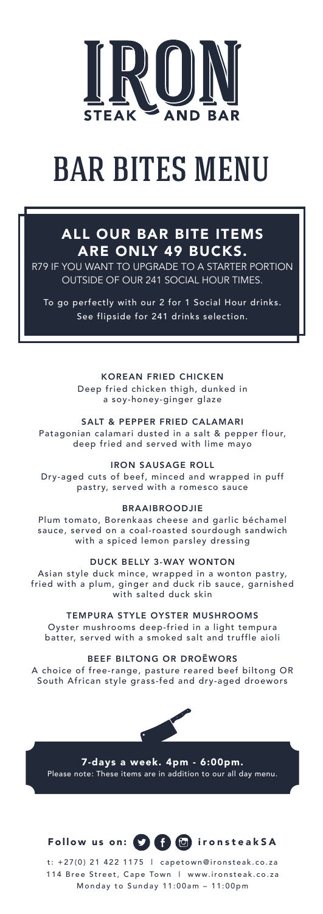

# **BAR BITES MENU**

#### ALL OUR BAR BITE ITEMS ARE ONLY 49 BUCKS.

R79 IF YOU WANT TO UPGRADE TO A STARTER PORTION OUTSIDE OF OUR 241 SOCIAL HOUR TIMES.

To go perfectly with our 2 for 1 Social Hour drinks. See flipside for 241 drinks selection.

> KOREAN FRIED CHICKEN Deep fried chicken thigh, dunked in a soy-honey-ginger glaze

SALT & PEPPER FRIED CALAMARI Patagonian calamari dusted in a salt & pepper flour, deep fried and served with lime mayo

IRON SAUSAGE ROLL

Dry-aged cuts of beef, minced and wrapped in puff pastry, served with a romesco sauce

#### BRAAIBROODJIE

Plum tomato, Borenkaas cheese and garlic béchamel sauce, served on a coal-roasted sourdough sandwich with a spiced lemon parsley dressing

DUCK BELLY 3-WAY WONTON

Asian style duck mince, wrapped in a wonton pastry, fried with a plum, ginger and duck rib sauce, garnished with salted duck skin

TEMPURA STYLE OYSTER MUSHROOMS Oyster mushrooms deep-fried in a light tempura batter, served with a smoked salt and truffle aioli

BEEF BILTONG OR DROËWORS

A choice of free-range, pasture reared beef biltong OR South African style grass-fed and dry-aged droewors



7-days a week. 4pm - 6:00pm. Please note: These items are in addition to our all day menu.

Follow us on: **in the following Constrants A** 

t: +27(0) 21 422 1175 | capetown@ironsteak.co.za 114 Bree Street, Cape Town | www.ironsteak.co.za Monday to Sunday 11:00am – 11:00pm